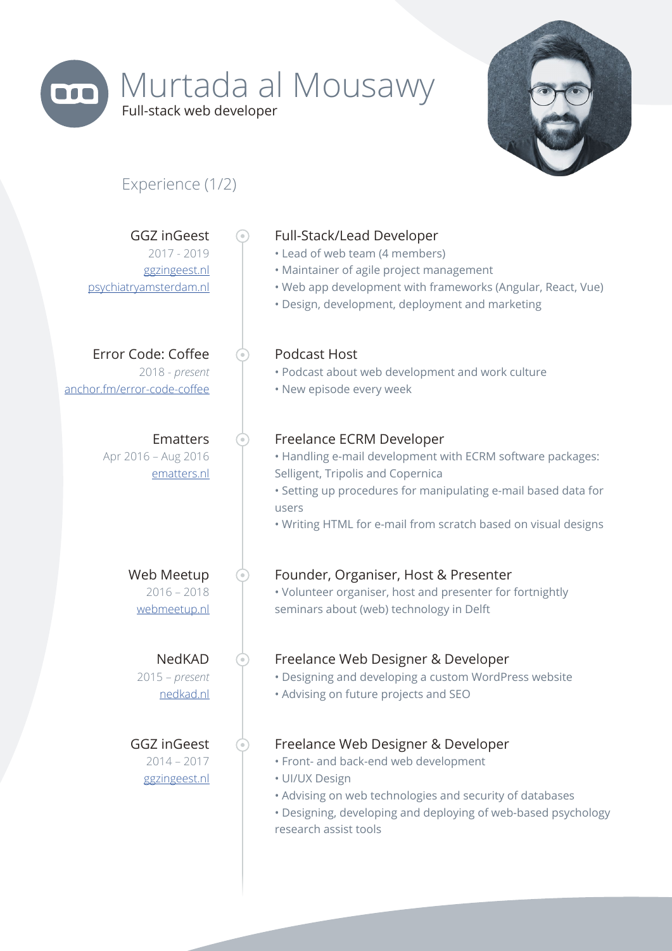

# Murtada al Mousawy Full-stack web developer

⊙

 $\odot$ 

 $\odot$ 

⊙

 $\odot$ 



## Experience (1/2)

GGZ inGeest 2017 - 2019 ggzingeest.nl psychiatryamsterdam.nl

Error Code: Coffee 2018 - *present* anchor.fm/error-code-coffee

> Ematters Apr 2016 – Aug 2016 ematters.nl

> > Web Meetup 2016 – 2018 webmeetup.nl

NedKAD 2015 – *present* nedkad.nl

GGZ inGeest 2014 – 2017 ggzingeest.nl

#### Full-Stack/Lead Developer

- Lead of web team (4 members)
- Maintainer of agile project management
- Web app development with frameworks (Angular, React, Vue)
- Design, development, deployment and marketing

#### Podcast Host

- Podcast about web development and work culture
- New episode every week

#### Freelance ECRM Developer

- Handling e-mail development with ECRM software packages: Selligent, Tripolis and Copernica
- Setting up procedures for manipulating e-mail based data for users
- Writing HTML for e-mail from scratch based on visual designs

#### Founder, Organiser, Host & Presenter

• Volunteer organiser, host and presenter for fortnightly seminars about (web) technology in Delft

#### Freelance Web Designer & Developer

- Designing and developing a custom WordPress website
- Advising on future projects and SEO

#### Freelance Web Designer & Developer

- Front- and back-end web development
- UI/UX Design
- Advising on web technologies and security of databases
- Designing, developing and deploying of web-based psychology research assist tools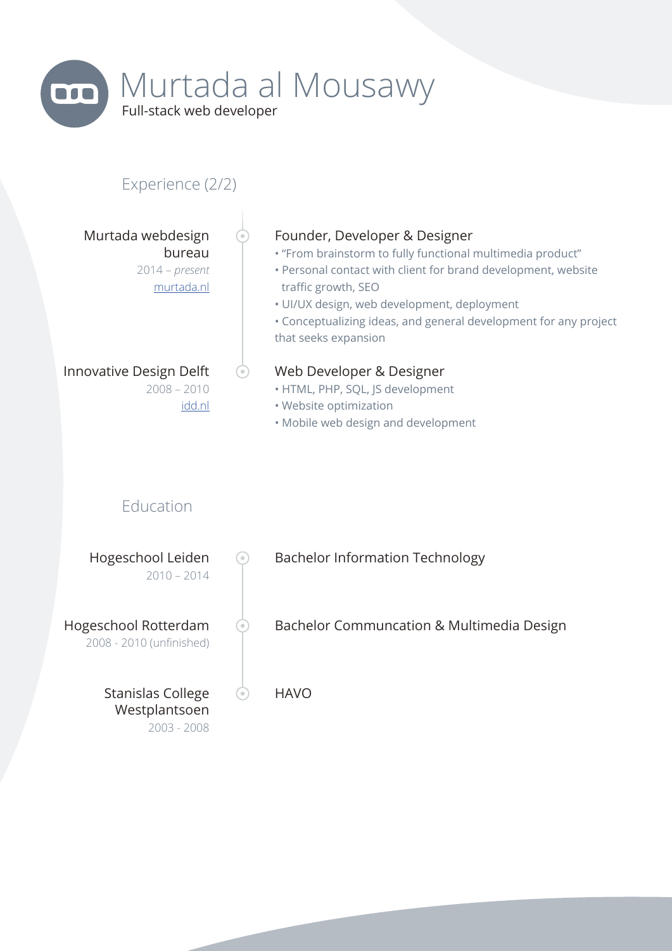

## Experience (2/2)

Murtada webdesign bureau 2014 – *present* murtada.nl

## Innovative Design Delft 2008 – 2010

#### idd.nl

 $\odot$ 

#### Founder, Developer & Designer

• "From brainstorm to fully functional multimedia product"

- Personal contact with client for brand development, website traffic growth, SEO
- UI/UX design, web development, deployment
- Conceptualizing ideas, and general development for any project that seeks expansion

#### Web Developer & Designer

- HTML, PHP, SQL, JS development
- Website optimization
- Mobile web design and development

## Education

| Hogeschool Leiden<br>$2010 - 2014$               | $\oplus$              | <b>Bachelor Information Technology</b>    |
|--------------------------------------------------|-----------------------|-------------------------------------------|
| Hogeschool Rotterdam<br>2008 - 2010 (unfinished) | $\qquad \qquad \circ$ | Bachelor Communcation & Multimedia Design |
| Stanislas College<br>Westplantsoen               | $\circ$               | <b>HAVO</b>                               |

2003 - 2008